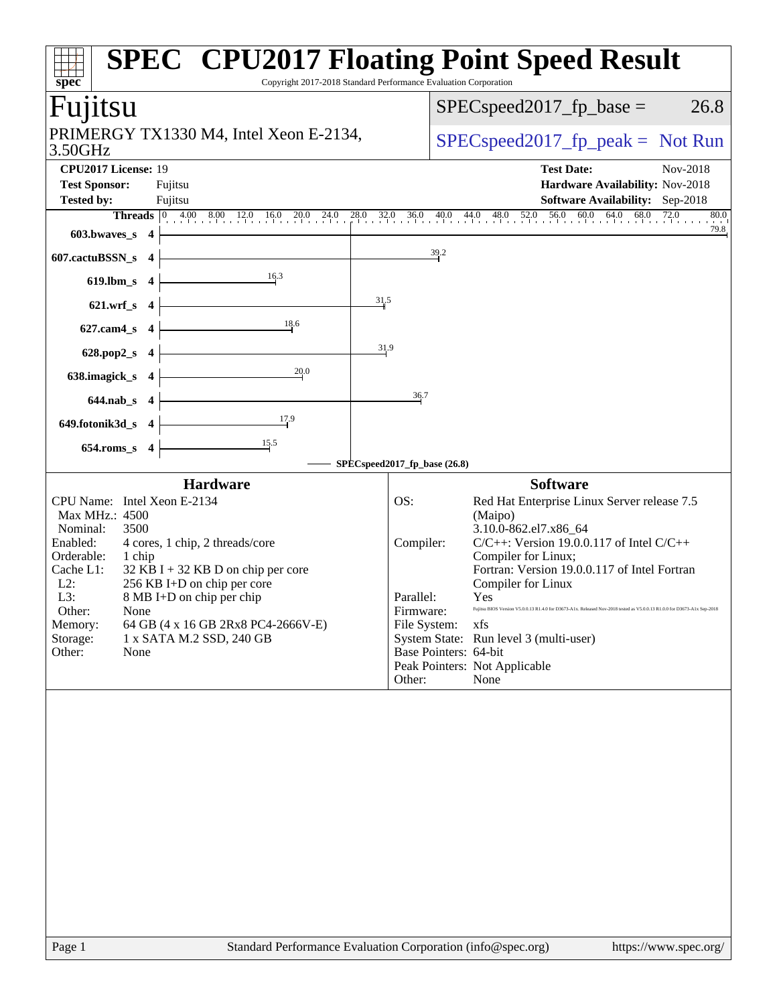| Copyright 2017-2018 Standard Performance Evaluation Corporation<br>spec                                                                                                                                                                                                                                                                                                                                                    | <b>SPEC<sup>®</sup> CPU2017 Floating Point Speed Result</b>                                                                                                                                                                                                                                                                                                                                                                                                                                                                                                                    |  |  |  |  |  |  |
|----------------------------------------------------------------------------------------------------------------------------------------------------------------------------------------------------------------------------------------------------------------------------------------------------------------------------------------------------------------------------------------------------------------------------|--------------------------------------------------------------------------------------------------------------------------------------------------------------------------------------------------------------------------------------------------------------------------------------------------------------------------------------------------------------------------------------------------------------------------------------------------------------------------------------------------------------------------------------------------------------------------------|--|--|--|--|--|--|
| Fujitsu                                                                                                                                                                                                                                                                                                                                                                                                                    | $SPEC speed2017_fp\_base =$<br>26.8                                                                                                                                                                                                                                                                                                                                                                                                                                                                                                                                            |  |  |  |  |  |  |
| PRIMERGY TX1330 M4, Intel Xeon E-2134,<br>3.50GHz                                                                                                                                                                                                                                                                                                                                                                          | $SPEC speed2017fr peak = Not Run$                                                                                                                                                                                                                                                                                                                                                                                                                                                                                                                                              |  |  |  |  |  |  |
| CPU2017 License: 19<br><b>Test Sponsor:</b><br>Fujitsu<br>Tested by:<br>Fujitsu                                                                                                                                                                                                                                                                                                                                            | Nov-2018<br><b>Test Date:</b><br>Hardware Availability: Nov-2018<br><b>Software Availability:</b> Sep-2018                                                                                                                                                                                                                                                                                                                                                                                                                                                                     |  |  |  |  |  |  |
| <b>Threads</b> $\begin{bmatrix} 0 & 4.00 & 8.00 & 12.0 & 16.0 & 20.0 & 24.0 & 28.0 & 32.0 & 36.0 & 40.0 & 44.0 & 48.0 & 52.0 & 56.0 & 60.0 & 64.0 & 68.0 & 72.0 \end{bmatrix}$<br>80.0<br>79.8                                                                                                                                                                                                                             |                                                                                                                                                                                                                                                                                                                                                                                                                                                                                                                                                                                |  |  |  |  |  |  |
| $603.bwaves$ 4<br>607.cactuBSSN_s 4                                                                                                                                                                                                                                                                                                                                                                                        | 39.2                                                                                                                                                                                                                                                                                                                                                                                                                                                                                                                                                                           |  |  |  |  |  |  |
| $\frac{16.3}{2}$<br>$619$ .lbm_s 4                                                                                                                                                                                                                                                                                                                                                                                         |                                                                                                                                                                                                                                                                                                                                                                                                                                                                                                                                                                                |  |  |  |  |  |  |
| 31.5<br>$621.wrf$ <sub>s</sub> 4                                                                                                                                                                                                                                                                                                                                                                                           |                                                                                                                                                                                                                                                                                                                                                                                                                                                                                                                                                                                |  |  |  |  |  |  |
| 18.6<br>$627$ .cam4_s 4                                                                                                                                                                                                                                                                                                                                                                                                    |                                                                                                                                                                                                                                                                                                                                                                                                                                                                                                                                                                                |  |  |  |  |  |  |
| 31.9<br>628.pop2_s $4$                                                                                                                                                                                                                                                                                                                                                                                                     |                                                                                                                                                                                                                                                                                                                                                                                                                                                                                                                                                                                |  |  |  |  |  |  |
| 20.0<br>638.imagick_s $4$ -                                                                                                                                                                                                                                                                                                                                                                                                |                                                                                                                                                                                                                                                                                                                                                                                                                                                                                                                                                                                |  |  |  |  |  |  |
| $644.nab_s$ 4                                                                                                                                                                                                                                                                                                                                                                                                              | 36.7                                                                                                                                                                                                                                                                                                                                                                                                                                                                                                                                                                           |  |  |  |  |  |  |
| 17.9<br>$649.$ fotonik $3d_s$ 4                                                                                                                                                                                                                                                                                                                                                                                            |                                                                                                                                                                                                                                                                                                                                                                                                                                                                                                                                                                                |  |  |  |  |  |  |
| $654$ .roms_s 4                                                                                                                                                                                                                                                                                                                                                                                                            |                                                                                                                                                                                                                                                                                                                                                                                                                                                                                                                                                                                |  |  |  |  |  |  |
|                                                                                                                                                                                                                                                                                                                                                                                                                            | SPECspeed2017_fp_base (26.8)                                                                                                                                                                                                                                                                                                                                                                                                                                                                                                                                                   |  |  |  |  |  |  |
| <b>Hardware</b><br>CPU Name: Intel Xeon E-2134<br>Max MHz.: 4500<br>Nominal:<br>3500<br>Enabled:<br>4 cores, 1 chip, 2 threads/core<br>Orderable:<br>1 chip<br>Cache L1:<br>$32$ KB I + 32 KB D on chip per core<br>$L2$ :<br>256 KB I+D on chip per core<br>L3:<br>8 MB I+D on chip per chip<br>Other:<br>None<br>64 GB (4 x 16 GB 2Rx8 PC4-2666V-E)<br>Memory:<br>Storage:<br>1 x SATA M.2 SSD, 240 GB<br>Other:<br>None | <b>Software</b><br>Red Hat Enterprise Linux Server release 7.5<br>OS:<br>(Maipo)<br>3.10.0-862.el7.x86_64<br>$C/C++$ : Version 19.0.0.117 of Intel $C/C++$<br>Compiler:<br>Compiler for Linux;<br>Fortran: Version 19.0.0.117 of Intel Fortran<br>Compiler for Linux<br>Parallel:<br>Yes<br>Fujitsu BIOS Version V5.0.0.13 R1.4.0 for D3673-A1x. Released Nov-2018 tested as V5.0.0.13 R1.0.0 for D3673-A1x Sep-2018<br>Firmware:<br>File System:<br>xfs<br>System State: Run level 3 (multi-user)<br>Base Pointers: 64-bit<br>Peak Pointers: Not Applicable<br>Other:<br>None |  |  |  |  |  |  |
| Page 1                                                                                                                                                                                                                                                                                                                                                                                                                     | Standard Performance Evaluation Corporation (info@spec.org)<br>https://www.spec.org/                                                                                                                                                                                                                                                                                                                                                                                                                                                                                           |  |  |  |  |  |  |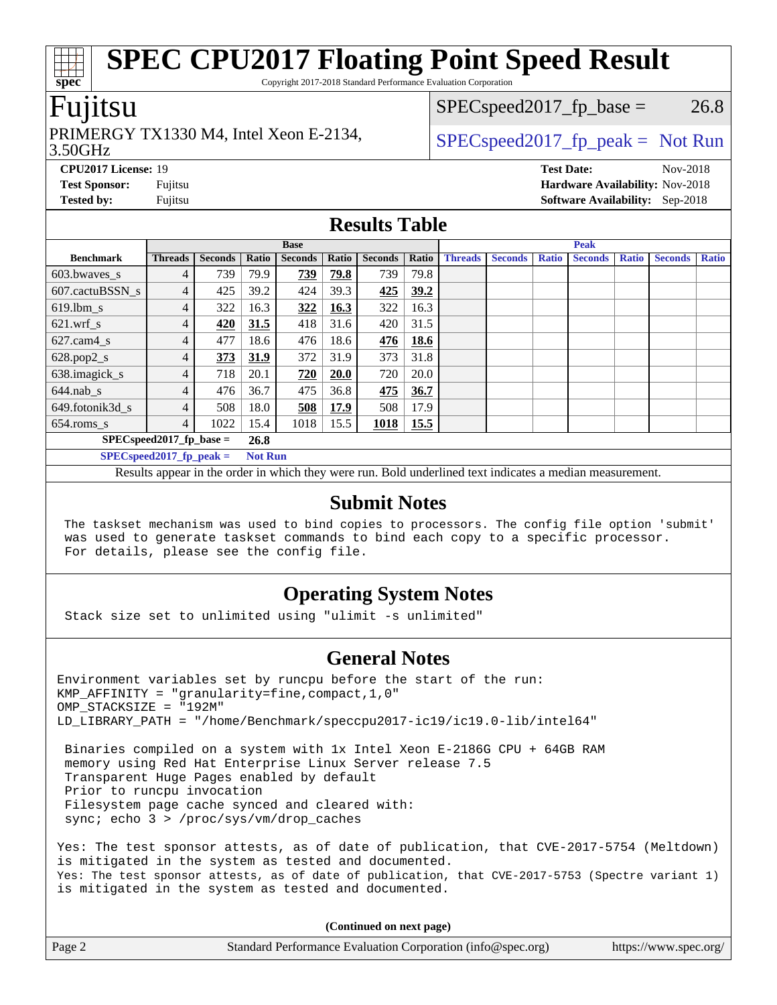Copyright 2017-2018 Standard Performance Evaluation Corporation

## Fujitsu

**[spec](http://www.spec.org/)**

#### 3.50GHz PRIMERGY TX1330 M4, Intel Xeon E-2134,  $\begin{array}{c|c} | \text{SPEC speed2017\_fp\_peak} = \text{Not Run} \end{array}$

 $SPEC speed2017_fp\_base = 26.8$ 

**[CPU2017 License:](http://www.spec.org/auto/cpu2017/Docs/result-fields.html#CPU2017License)** 19 **[Test Date:](http://www.spec.org/auto/cpu2017/Docs/result-fields.html#TestDate)** Nov-2018 **[Test Sponsor:](http://www.spec.org/auto/cpu2017/Docs/result-fields.html#TestSponsor)** Fujitsu **[Hardware Availability:](http://www.spec.org/auto/cpu2017/Docs/result-fields.html#HardwareAvailability)** Nov-2018 **[Tested by:](http://www.spec.org/auto/cpu2017/Docs/result-fields.html#Testedby)** Fujitsu **[Software Availability:](http://www.spec.org/auto/cpu2017/Docs/result-fields.html#SoftwareAvailability)** Sep-2018

### **[Results Table](http://www.spec.org/auto/cpu2017/Docs/result-fields.html#ResultsTable)**

|                  | <b>Base</b>                 |                |                |                |             | <b>Peak</b>    |       |                |                |              |                |              |                |              |
|------------------|-----------------------------|----------------|----------------|----------------|-------------|----------------|-------|----------------|----------------|--------------|----------------|--------------|----------------|--------------|
| <b>Benchmark</b> | <b>Threads</b>              | <b>Seconds</b> | Ratio          | <b>Seconds</b> | Ratio       | <b>Seconds</b> | Ratio | <b>Threads</b> | <b>Seconds</b> | <b>Ratio</b> | <b>Seconds</b> | <b>Ratio</b> | <b>Seconds</b> | <b>Ratio</b> |
| $603.bwaves$ s   | 4                           | 739            | 79.9           | 739            | 79.8        | 739            | 79.8  |                |                |              |                |              |                |              |
| 607.cactuBSSN s  | 4                           | 425            | 39.2           | 424            | 39.3        | 425            | 39.2  |                |                |              |                |              |                |              |
| $619.$ lbm_s     | $\overline{4}$              | 322            | 16.3           | 322            | <b>16.3</b> | 322            | 16.3  |                |                |              |                |              |                |              |
| $621.wrf$ s      | 4                           | 420            | 31.5           | 418            | 31.6        | 420            | 31.5  |                |                |              |                |              |                |              |
| $627$ .cam4 s    | $\overline{4}$              | 477            | 18.6           | 476            | 18.6        | 476            | 18.6  |                |                |              |                |              |                |              |
| $628.pop2_s$     | 4                           | 373            | 31.9           | 372            | 31.9        | 373            | 31.8  |                |                |              |                |              |                |              |
| 638.imagick_s    | $\overline{4}$              | 718            | 20.1           | 720            | <b>20.0</b> | 720            | 20.0  |                |                |              |                |              |                |              |
| $644$ .nab s     | 4                           | 476            | 36.7           | 475            | 36.8        | 475            | 36.7  |                |                |              |                |              |                |              |
| 649.fotonik3d s  | $\overline{4}$              | 508            | 18.0           | 508            | 17.9        | 508            | 17.9  |                |                |              |                |              |                |              |
| $654$ .roms s    | 4                           | 1022           | 15.4           | 1018           | 15.5        | <b>1018</b>    | 15.5  |                |                |              |                |              |                |              |
|                  | $SPEC speed2017_fp\_base =$ |                | 26.8           |                |             |                |       |                |                |              |                |              |                |              |
|                  | $SPECspeed2017_fp\_peak =$  |                | <b>Not Run</b> |                |             |                |       |                |                |              |                |              |                |              |

Results appear in the [order in which they were run.](http://www.spec.org/auto/cpu2017/Docs/result-fields.html#RunOrder) Bold underlined text [indicates a median measurement.](http://www.spec.org/auto/cpu2017/Docs/result-fields.html#Median)

#### **[Submit Notes](http://www.spec.org/auto/cpu2017/Docs/result-fields.html#SubmitNotes)**

 The taskset mechanism was used to bind copies to processors. The config file option 'submit' was used to generate taskset commands to bind each copy to a specific processor. For details, please see the config file.

### **[Operating System Notes](http://www.spec.org/auto/cpu2017/Docs/result-fields.html#OperatingSystemNotes)**

Stack size set to unlimited using "ulimit -s unlimited"

### **[General Notes](http://www.spec.org/auto/cpu2017/Docs/result-fields.html#GeneralNotes)**

Environment variables set by runcpu before the start of the run: KMP AFFINITY = "granularity=fine, compact,  $1,0$ " OMP\_STACKSIZE = "192M" LD\_LIBRARY\_PATH = "/home/Benchmark/speccpu2017-ic19/ic19.0-lib/intel64"

 Binaries compiled on a system with 1x Intel Xeon E-2186G CPU + 64GB RAM memory using Red Hat Enterprise Linux Server release 7.5 Transparent Huge Pages enabled by default Prior to runcpu invocation Filesystem page cache synced and cleared with: sync; echo 3 > /proc/sys/vm/drop\_caches

Yes: The test sponsor attests, as of date of publication, that CVE-2017-5754 (Meltdown) is mitigated in the system as tested and documented. Yes: The test sponsor attests, as of date of publication, that CVE-2017-5753 (Spectre variant 1) is mitigated in the system as tested and documented.

**(Continued on next page)**

| Page 2 | Standard Performance Evaluation Corporation (info@spec.org) | https://www.spec.org/ |
|--------|-------------------------------------------------------------|-----------------------|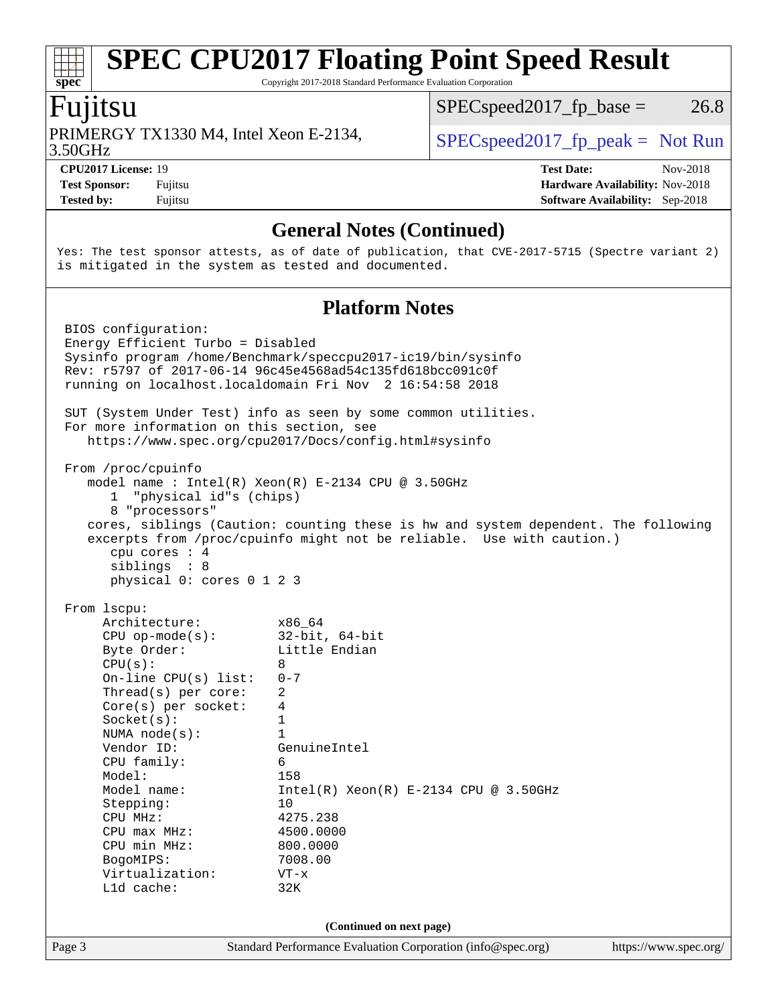Copyright 2017-2018 Standard Performance Evaluation Corporation

### Fujitsu

**[spec](http://www.spec.org/)**

3.50GHz PRIMERGY TX1330 M4, Intel Xeon E-2134,  $\begin{array}{c|c} | \text{SPEC speed2017\_fp\_peak} = \text{Not Run} \end{array}$ 

 $SPEC speed2017_fp\_base = 26.8$ 

**[Test Sponsor:](http://www.spec.org/auto/cpu2017/Docs/result-fields.html#TestSponsor)** Fujitsu **[Hardware Availability:](http://www.spec.org/auto/cpu2017/Docs/result-fields.html#HardwareAvailability)** Nov-2018 **[Tested by:](http://www.spec.org/auto/cpu2017/Docs/result-fields.html#Testedby)** Fujitsu **[Software Availability:](http://www.spec.org/auto/cpu2017/Docs/result-fields.html#SoftwareAvailability)** Sep-2018

**[CPU2017 License:](http://www.spec.org/auto/cpu2017/Docs/result-fields.html#CPU2017License)** 19 **[Test Date:](http://www.spec.org/auto/cpu2017/Docs/result-fields.html#TestDate)** Nov-2018

**[General Notes \(Continued\)](http://www.spec.org/auto/cpu2017/Docs/result-fields.html#GeneralNotes)**

Yes: The test sponsor attests, as of date of publication, that CVE-2017-5715 (Spectre variant 2) is mitigated in the system as tested and documented.

#### **[Platform Notes](http://www.spec.org/auto/cpu2017/Docs/result-fields.html#PlatformNotes)**

Page 3 Standard Performance Evaluation Corporation [\(info@spec.org\)](mailto:info@spec.org) <https://www.spec.org/> BIOS configuration: Energy Efficient Turbo = Disabled Sysinfo program /home/Benchmark/speccpu2017-ic19/bin/sysinfo Rev: r5797 of 2017-06-14 96c45e4568ad54c135fd618bcc091c0f running on localhost.localdomain Fri Nov 2 16:54:58 2018 SUT (System Under Test) info as seen by some common utilities. For more information on this section, see <https://www.spec.org/cpu2017/Docs/config.html#sysinfo> From /proc/cpuinfo model name : Intel(R) Xeon(R) E-2134 CPU @ 3.50GHz 1 "physical id"s (chips) 8 "processors" cores, siblings (Caution: counting these is hw and system dependent. The following excerpts from /proc/cpuinfo might not be reliable. Use with caution.) cpu cores : 4 siblings : 8 physical 0: cores 0 1 2 3 From lscpu: Architecture: x86\_64 CPU op-mode(s): 32-bit, 64-bit Byte Order: Little Endian  $CPU(s):$  8 On-line CPU(s) list: 0-7 Thread(s) per core: 2 Core(s) per socket: 4  $Sockets(s):$  1 NUMA node(s): 1 Vendor ID: GenuineIntel CPU family: 6 Model: 158 Model name: Intel(R) Xeon(R) E-2134 CPU @ 3.50GHz Stepping: 10 CPU MHz: 4275.238<br>
CPU max MHz: 4500.0000  $CPIJ$  max  $MHz$ : CPU min MHz: 800.0000 BogoMIPS: 7008.00 Virtualization: VT-x L1d cache: 32K **(Continued on next page)**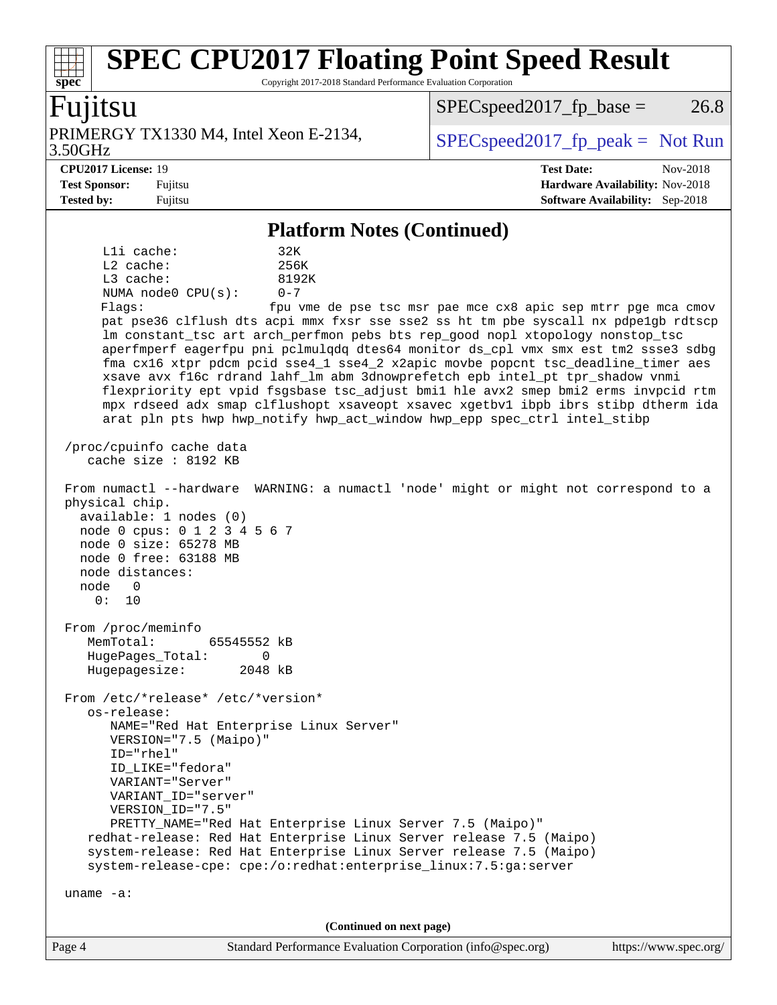Copyright 2017-2018 Standard Performance Evaluation Corporation

### Fujitsu

**[spec](http://www.spec.org/)**

3.50GHz PRIMERGY TX1330 M4, Intel Xeon E-2134,  $\begin{array}{c|c} | \text{SPEC speed2017\_fp\_peak} = \text{Not Run} \end{array}$ 

 $SPEC speed2017_fp\_base = 26.8$ 

**[CPU2017 License:](http://www.spec.org/auto/cpu2017/Docs/result-fields.html#CPU2017License)** 19 **[Test Date:](http://www.spec.org/auto/cpu2017/Docs/result-fields.html#TestDate)** Nov-2018 **[Test Sponsor:](http://www.spec.org/auto/cpu2017/Docs/result-fields.html#TestSponsor)** Fujitsu **[Hardware Availability:](http://www.spec.org/auto/cpu2017/Docs/result-fields.html#HardwareAvailability)** Nov-2018 **[Tested by:](http://www.spec.org/auto/cpu2017/Docs/result-fields.html#Testedby)** Fujitsu **[Software Availability:](http://www.spec.org/auto/cpu2017/Docs/result-fields.html#SoftwareAvailability)** Sep-2018

#### **[Platform Notes \(Continued\)](http://www.spec.org/auto/cpu2017/Docs/result-fields.html#PlatformNotes)**

L1i cache: 32K L2 cache: 256K L3 cache: 8192K NUMA node0 CPU(s): 0-7 Flags: fpu vme de pse tsc msr pae mce cx8 apic sep mtrr pge mca cmov pat pse36 clflush dts acpi mmx fxsr sse sse2 ss ht tm pbe syscall nx pdpe1gb rdtscp lm constant\_tsc art arch\_perfmon pebs bts rep\_good nopl xtopology nonstop\_tsc aperfmperf eagerfpu pni pclmulqdq dtes64 monitor ds\_cpl vmx smx est tm2 ssse3 sdbg fma cx16 xtpr pdcm pcid sse4\_1 sse4\_2 x2apic movbe popcnt tsc\_deadline\_timer aes xsave avx f16c rdrand lahf\_lm abm 3dnowprefetch epb intel\_pt tpr\_shadow vnmi flexpriority ept vpid fsgsbase tsc\_adjust bmi1 hle avx2 smep bmi2 erms invpcid rtm mpx rdseed adx smap clflushopt xsaveopt xsavec xgetbv1 ibpb ibrs stibp dtherm ida arat pln pts hwp hwp\_notify hwp\_act\_window hwp\_epp spec\_ctrl intel\_stibp /proc/cpuinfo cache data cache size : 8192 KB From numactl --hardware WARNING: a numactl 'node' might or might not correspond to a physical chip. available: 1 nodes (0) node 0 cpus: 0 1 2 3 4 5 6 7 node 0 size: 65278 MB node 0 free: 63188 MB node distances: node 0 0: 10 From /proc/meminfo MemTotal: 65545552 kB HugePages\_Total: 0<br>Hugepagesize: 2048 kB Hugepagesize: From /etc/\*release\* /etc/\*version\* os-release: NAME="Red Hat Enterprise Linux Server" VERSION="7.5 (Maipo)" ID="rhel" ID\_LIKE="fedora" VARIANT="Server" VARIANT\_ID="server" VERSION\_ID="7.5" PRETTY\_NAME="Red Hat Enterprise Linux Server 7.5 (Maipo)" redhat-release: Red Hat Enterprise Linux Server release 7.5 (Maipo) system-release: Red Hat Enterprise Linux Server release 7.5 (Maipo) system-release-cpe: cpe:/o:redhat:enterprise\_linux:7.5:ga:server uname -a: **(Continued on next page)**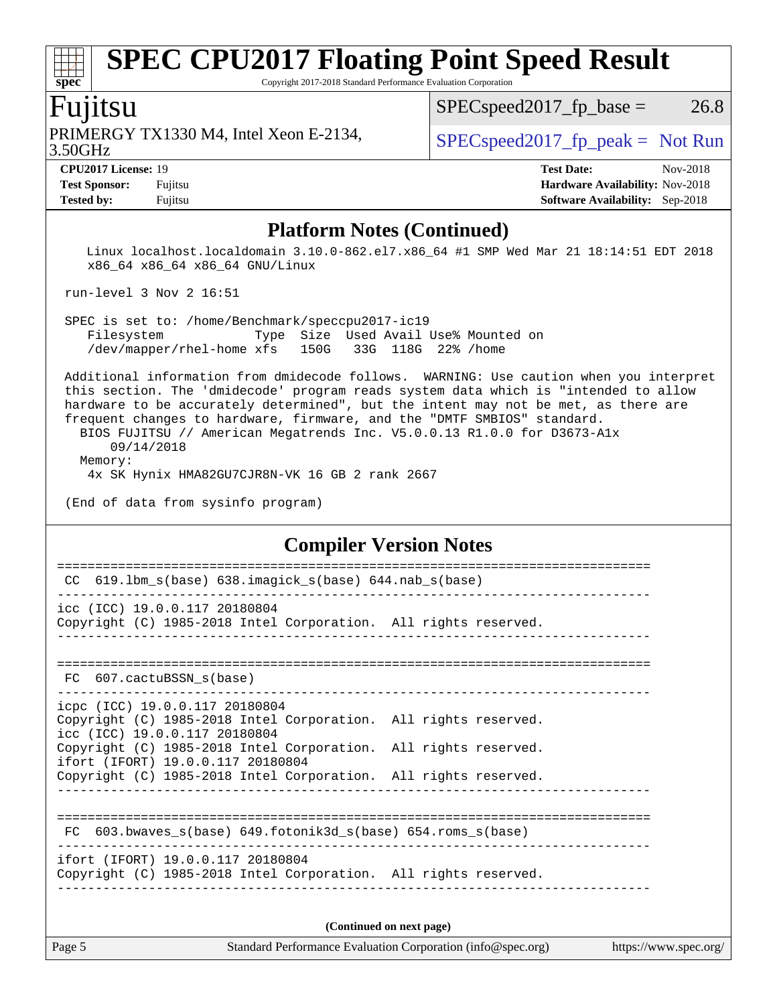Copyright 2017-2018 Standard Performance Evaluation Corporation

## Fujitsu

3.50GHz PRIMERGY TX1330 M4, Intel Xeon E-2134,  $\begin{array}{c|c} | \text{SPEC speed2017\_fp\_peak} = \text{Not Run} \end{array}$ 

 $SPEC speed2017_fp\_base = 26.8$ 

**[spec](http://www.spec.org/)**

**[CPU2017 License:](http://www.spec.org/auto/cpu2017/Docs/result-fields.html#CPU2017License)** 19 **[Test Date:](http://www.spec.org/auto/cpu2017/Docs/result-fields.html#TestDate)** Nov-2018 **[Test Sponsor:](http://www.spec.org/auto/cpu2017/Docs/result-fields.html#TestSponsor)** Fujitsu **[Hardware Availability:](http://www.spec.org/auto/cpu2017/Docs/result-fields.html#HardwareAvailability)** Nov-2018 **[Tested by:](http://www.spec.org/auto/cpu2017/Docs/result-fields.html#Testedby)** Fujitsu **[Software Availability:](http://www.spec.org/auto/cpu2017/Docs/result-fields.html#SoftwareAvailability)** Sep-2018

#### **[Platform Notes \(Continued\)](http://www.spec.org/auto/cpu2017/Docs/result-fields.html#PlatformNotes)**

 Linux localhost.localdomain 3.10.0-862.el7.x86\_64 #1 SMP Wed Mar 21 18:14:51 EDT 2018 x86\_64 x86\_64 x86\_64 GNU/Linux

run-level 3 Nov 2 16:51

 SPEC is set to: /home/Benchmark/speccpu2017-ic19 Filesystem Type Size Used Avail Use% Mounted on /dev/mapper/rhel-home xfs 150G 33G 118G 22% /home

 Additional information from dmidecode follows. WARNING: Use caution when you interpret this section. The 'dmidecode' program reads system data which is "intended to allow hardware to be accurately determined", but the intent may not be met, as there are frequent changes to hardware, firmware, and the "DMTF SMBIOS" standard.

 BIOS FUJITSU // American Megatrends Inc. V5.0.0.13 R1.0.0 for D3673-A1x 09/14/2018 Memory:

4x SK Hynix HMA82GU7CJR8N-VK 16 GB 2 rank 2667

(End of data from sysinfo program)

#### **[Compiler Version Notes](http://www.spec.org/auto/cpu2017/Docs/result-fields.html#CompilerVersionNotes)**

| 619.1bm_s(base) 638.imagick_s(base) 644.nab_s(base)<br>CC                                                                                                               |
|-------------------------------------------------------------------------------------------------------------------------------------------------------------------------|
| icc (ICC) 19.0.0.117 20180804<br>Copyright (C) 1985-2018 Intel Corporation. All rights reserved.                                                                        |
| FC 607.cactuBSSN_s(base)                                                                                                                                                |
| icpc (ICC) 19.0.0.117 20180804<br>Copyright (C) 1985-2018 Intel Corporation. All rights reserved.<br>icc (ICC) 19.0.0.117 20180804                                      |
| Copyright (C) 1985-2018 Intel Corporation. All rights reserved.<br>ifort (IFORT) 19.0.0.117 20180804<br>Copyright (C) 1985-2018 Intel Corporation. All rights reserved. |
|                                                                                                                                                                         |
| 603.bwaves $s(base)$ 649.fotonik3d $s(base)$ 654.roms $s(base)$<br>FC                                                                                                   |
| ifort (IFORT) 19.0.0.117 20180804<br>Copyright (C) 1985-2018 Intel Corporation. All rights reserved.                                                                    |
| (Continued on next page)                                                                                                                                                |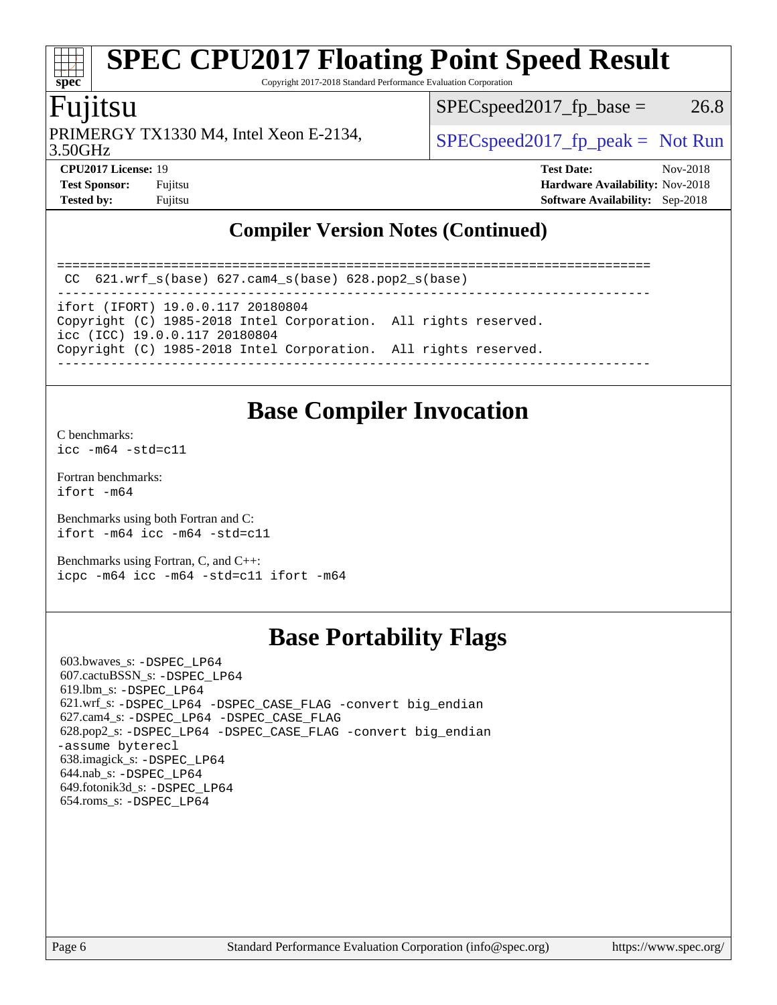Copyright 2017-2018 Standard Performance Evaluation Corporation

# Fujitsu

**[spec](http://www.spec.org/)**

3.50GHz PRIMERGY TX1330 M4, Intel Xeon E-2134,  $\begin{array}{c|c} | \text{SPEC speed2017\_fp\_peak} = \text{Not Run} \end{array}$ 

 $SPEC speed2017_fp\_base = 26.8$ 

**[CPU2017 License:](http://www.spec.org/auto/cpu2017/Docs/result-fields.html#CPU2017License)** 19 **[Test Date:](http://www.spec.org/auto/cpu2017/Docs/result-fields.html#TestDate)** Nov-2018 **[Test Sponsor:](http://www.spec.org/auto/cpu2017/Docs/result-fields.html#TestSponsor)** Fujitsu **[Hardware Availability:](http://www.spec.org/auto/cpu2017/Docs/result-fields.html#HardwareAvailability)** Nov-2018 **[Tested by:](http://www.spec.org/auto/cpu2017/Docs/result-fields.html#Testedby)** Fujitsu **[Software Availability:](http://www.spec.org/auto/cpu2017/Docs/result-fields.html#SoftwareAvailability)** Sep-2018

### **[Compiler Version Notes \(Continued\)](http://www.spec.org/auto/cpu2017/Docs/result-fields.html#CompilerVersionNotes)**

==============================================================================

 CC 621.wrf\_s(base) 627.cam4\_s(base) 628.pop2\_s(base) ------------------------------------------------------------------------------

ifort (IFORT) 19.0.0.117 20180804

Copyright (C) 1985-2018 Intel Corporation. All rights reserved. icc (ICC) 19.0.0.117 20180804

Copyright (C) 1985-2018 Intel Corporation. All rights reserved.

------------------------------------------------------------------------------

# **[Base Compiler Invocation](http://www.spec.org/auto/cpu2017/Docs/result-fields.html#BaseCompilerInvocation)**

[C benchmarks](http://www.spec.org/auto/cpu2017/Docs/result-fields.html#Cbenchmarks):  $icc - m64 - std = c11$ 

[Fortran benchmarks](http://www.spec.org/auto/cpu2017/Docs/result-fields.html#Fortranbenchmarks): [ifort -m64](http://www.spec.org/cpu2017/results/res2018q4/cpu2017-20181113-09795.flags.html#user_FCbase_intel_ifort_64bit_24f2bb282fbaeffd6157abe4f878425411749daecae9a33200eee2bee2fe76f3b89351d69a8130dd5949958ce389cf37ff59a95e7a40d588e8d3a57e0c3fd751)

[Benchmarks using both Fortran and C](http://www.spec.org/auto/cpu2017/Docs/result-fields.html#BenchmarksusingbothFortranandC): [ifort -m64](http://www.spec.org/cpu2017/results/res2018q4/cpu2017-20181113-09795.flags.html#user_CC_FCbase_intel_ifort_64bit_24f2bb282fbaeffd6157abe4f878425411749daecae9a33200eee2bee2fe76f3b89351d69a8130dd5949958ce389cf37ff59a95e7a40d588e8d3a57e0c3fd751) [icc -m64 -std=c11](http://www.spec.org/cpu2017/results/res2018q4/cpu2017-20181113-09795.flags.html#user_CC_FCbase_intel_icc_64bit_c11_33ee0cdaae7deeeab2a9725423ba97205ce30f63b9926c2519791662299b76a0318f32ddfffdc46587804de3178b4f9328c46fa7c2b0cd779d7a61945c91cd35)

[Benchmarks using Fortran, C, and C++:](http://www.spec.org/auto/cpu2017/Docs/result-fields.html#BenchmarksusingFortranCandCXX) [icpc -m64](http://www.spec.org/cpu2017/results/res2018q4/cpu2017-20181113-09795.flags.html#user_CC_CXX_FCbase_intel_icpc_64bit_4ecb2543ae3f1412ef961e0650ca070fec7b7afdcd6ed48761b84423119d1bf6bdf5cad15b44d48e7256388bc77273b966e5eb805aefd121eb22e9299b2ec9d9) [icc -m64 -std=c11](http://www.spec.org/cpu2017/results/res2018q4/cpu2017-20181113-09795.flags.html#user_CC_CXX_FCbase_intel_icc_64bit_c11_33ee0cdaae7deeeab2a9725423ba97205ce30f63b9926c2519791662299b76a0318f32ddfffdc46587804de3178b4f9328c46fa7c2b0cd779d7a61945c91cd35) [ifort -m64](http://www.spec.org/cpu2017/results/res2018q4/cpu2017-20181113-09795.flags.html#user_CC_CXX_FCbase_intel_ifort_64bit_24f2bb282fbaeffd6157abe4f878425411749daecae9a33200eee2bee2fe76f3b89351d69a8130dd5949958ce389cf37ff59a95e7a40d588e8d3a57e0c3fd751)

# **[Base Portability Flags](http://www.spec.org/auto/cpu2017/Docs/result-fields.html#BasePortabilityFlags)**

 603.bwaves\_s: [-DSPEC\\_LP64](http://www.spec.org/cpu2017/results/res2018q4/cpu2017-20181113-09795.flags.html#suite_basePORTABILITY603_bwaves_s_DSPEC_LP64) 607.cactuBSSN\_s: [-DSPEC\\_LP64](http://www.spec.org/cpu2017/results/res2018q4/cpu2017-20181113-09795.flags.html#suite_basePORTABILITY607_cactuBSSN_s_DSPEC_LP64) 619.lbm\_s: [-DSPEC\\_LP64](http://www.spec.org/cpu2017/results/res2018q4/cpu2017-20181113-09795.flags.html#suite_basePORTABILITY619_lbm_s_DSPEC_LP64) 621.wrf\_s: [-DSPEC\\_LP64](http://www.spec.org/cpu2017/results/res2018q4/cpu2017-20181113-09795.flags.html#suite_basePORTABILITY621_wrf_s_DSPEC_LP64) [-DSPEC\\_CASE\\_FLAG](http://www.spec.org/cpu2017/results/res2018q4/cpu2017-20181113-09795.flags.html#b621.wrf_s_baseCPORTABILITY_DSPEC_CASE_FLAG) [-convert big\\_endian](http://www.spec.org/cpu2017/results/res2018q4/cpu2017-20181113-09795.flags.html#user_baseFPORTABILITY621_wrf_s_convert_big_endian_c3194028bc08c63ac5d04de18c48ce6d347e4e562e8892b8bdbdc0214820426deb8554edfa529a3fb25a586e65a3d812c835984020483e7e73212c4d31a38223) 627.cam4\_s: [-DSPEC\\_LP64](http://www.spec.org/cpu2017/results/res2018q4/cpu2017-20181113-09795.flags.html#suite_basePORTABILITY627_cam4_s_DSPEC_LP64) [-DSPEC\\_CASE\\_FLAG](http://www.spec.org/cpu2017/results/res2018q4/cpu2017-20181113-09795.flags.html#b627.cam4_s_baseCPORTABILITY_DSPEC_CASE_FLAG) 628.pop2\_s: [-DSPEC\\_LP64](http://www.spec.org/cpu2017/results/res2018q4/cpu2017-20181113-09795.flags.html#suite_basePORTABILITY628_pop2_s_DSPEC_LP64) [-DSPEC\\_CASE\\_FLAG](http://www.spec.org/cpu2017/results/res2018q4/cpu2017-20181113-09795.flags.html#b628.pop2_s_baseCPORTABILITY_DSPEC_CASE_FLAG) [-convert big\\_endian](http://www.spec.org/cpu2017/results/res2018q4/cpu2017-20181113-09795.flags.html#user_baseFPORTABILITY628_pop2_s_convert_big_endian_c3194028bc08c63ac5d04de18c48ce6d347e4e562e8892b8bdbdc0214820426deb8554edfa529a3fb25a586e65a3d812c835984020483e7e73212c4d31a38223) [-assume byterecl](http://www.spec.org/cpu2017/results/res2018q4/cpu2017-20181113-09795.flags.html#user_baseFPORTABILITY628_pop2_s_assume_byterecl_7e47d18b9513cf18525430bbf0f2177aa9bf368bc7a059c09b2c06a34b53bd3447c950d3f8d6c70e3faf3a05c8557d66a5798b567902e8849adc142926523472) 638.imagick\_s: [-DSPEC\\_LP64](http://www.spec.org/cpu2017/results/res2018q4/cpu2017-20181113-09795.flags.html#suite_basePORTABILITY638_imagick_s_DSPEC_LP64) 644.nab\_s: [-DSPEC\\_LP64](http://www.spec.org/cpu2017/results/res2018q4/cpu2017-20181113-09795.flags.html#suite_basePORTABILITY644_nab_s_DSPEC_LP64) 649.fotonik3d\_s: [-DSPEC\\_LP64](http://www.spec.org/cpu2017/results/res2018q4/cpu2017-20181113-09795.flags.html#suite_basePORTABILITY649_fotonik3d_s_DSPEC_LP64) 654.roms\_s: [-DSPEC\\_LP64](http://www.spec.org/cpu2017/results/res2018q4/cpu2017-20181113-09795.flags.html#suite_basePORTABILITY654_roms_s_DSPEC_LP64)